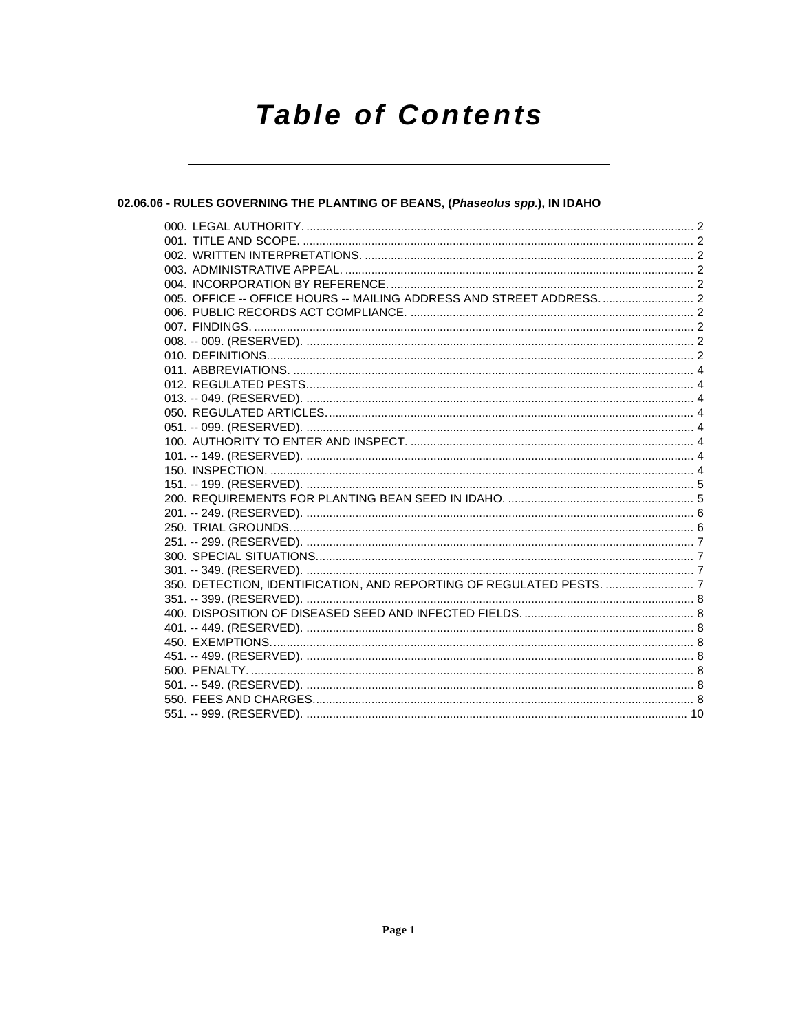# **Table of Contents**

#### 02.06.06 - RULES GOVERNING THE PLANTING OF BEANS, (Phaseolus spp.), IN IDAHO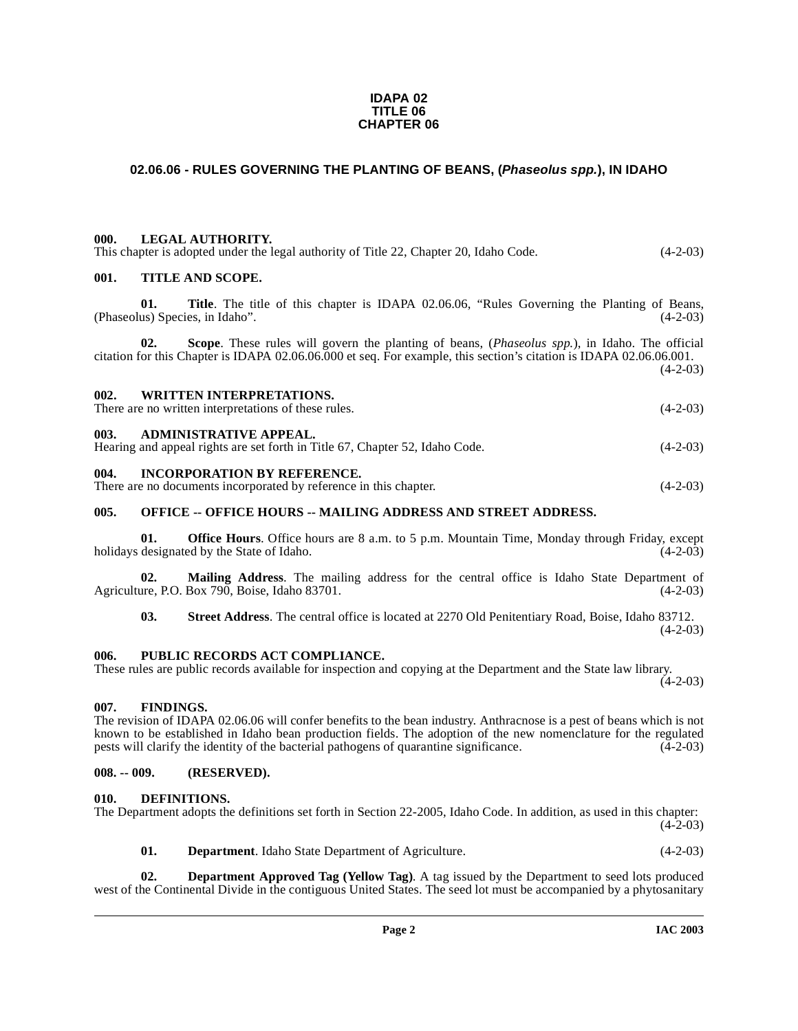#### **IDAPA 02 TITLE 06 CHAPTER 06**

#### <span id="page-1-0"></span>**02.06.06 - RULES GOVERNING THE PLANTING OF BEANS, (Phaseolus spp.), IN IDAHO**

#### <span id="page-1-1"></span>**000. LEGAL AUTHORITY.**

<span id="page-1-2"></span>

|      |     | This chapter is adopted under the legal authority of Title 22, Chapter 20, Idaho Code.                                                                                                                                             | $(4-2-03)$ |
|------|-----|------------------------------------------------------------------------------------------------------------------------------------------------------------------------------------------------------------------------------------|------------|
| 001. |     | <b>TITLE AND SCOPE.</b>                                                                                                                                                                                                            |            |
|      | 01. | <b>Title.</b> The title of this chapter is IDAPA 02.06.06, "Rules Governing the Planting of Beans,<br>(Phaseolus) Species, in Idaho".                                                                                              | $(4-2-03)$ |
|      | 02. | <b>Scope.</b> These rules will govern the planting of beans, ( <i>Phaseolus spp.</i> ), in Idaho. The official<br>citation for this Chapter is IDAPA 02.06.06.000 et seq. For example, this section's citation is IDAPA 02.06.001. | $(4-2-03)$ |
| 002. |     | <b>WRITTEN INTERPRETATIONS.</b><br>There are no written interpretations of these rules.                                                                                                                                            | $(4-2-03)$ |
| 003. |     | <b>ADMINISTRATIVE APPEAL.</b><br>Hearing and appeal rights are set forth in Title 67, Chapter 52, Idaho Code.                                                                                                                      | $(4-2-03)$ |
| 004. |     | <b>INCORPORATION BY REFERENCE.</b><br>There are no documents incorporated by reference in this chapter.                                                                                                                            | $(4-2-03)$ |

#### <span id="page-1-6"></span><span id="page-1-5"></span><span id="page-1-4"></span><span id="page-1-3"></span>**005. OFFICE -- OFFICE HOURS -- MAILING ADDRESS AND STREET ADDRESS.**

**01. Office Hours**. Office hours are 8 a.m. to 5 p.m. Mountain Time, Monday through Friday, except designated by the State of Idaho. (4-2-03) holidays designated by the State of Idaho.

**02. Mailing Address**. The mailing address for the central office is Idaho State Department of Agriculture, P.O. Box 790, Boise, Idaho 83701. (4-2-03)

**03. Street Address**. The central office is located at 2270 Old Penitentiary Road, Boise, Idaho 83712.  $(4-2-03)$ 

#### <span id="page-1-7"></span>**006. PUBLIC RECORDS ACT COMPLIANCE.**

These rules are public records available for inspection and copying at the Department and the State law library.  $(4-2-03)$ 

#### <span id="page-1-8"></span>**007. FINDINGS.**

The revision of IDAPA 02.06.06 will confer benefits to the bean industry. Anthracnose is a pest of beans which is not known to be established in Idaho bean production fields. The adoption of the new nomenclature for the regulated pests will clarify the identity of the bacterial pathogens of quarantine significance. (4-2-03) pests will clarify the identity of the bacterial pathogens of quarantine significance.

#### <span id="page-1-9"></span>**008. -- 009. (RESERVED).**

## <span id="page-1-12"></span><span id="page-1-10"></span>**010. DEFINITIONS.** The Department adopts the

| The Department adopts the definitions set forth in Section 22-2005, Idaho Code. In addition, as used in this chapter: |  |            |
|-----------------------------------------------------------------------------------------------------------------------|--|------------|
|                                                                                                                       |  | $(4-2-03)$ |

<span id="page-1-11"></span>

| 01. | <b>Department.</b> Idaho State Department of Agriculture. | $(4-2-03)$ |
|-----|-----------------------------------------------------------|------------|
|     |                                                           |            |

**02. Department Approved Tag (Yellow Tag)**. A tag issued by the Department to seed lots produced west of the Continental Divide in the contiguous United States. The seed lot must be accompanied by a phytosanitary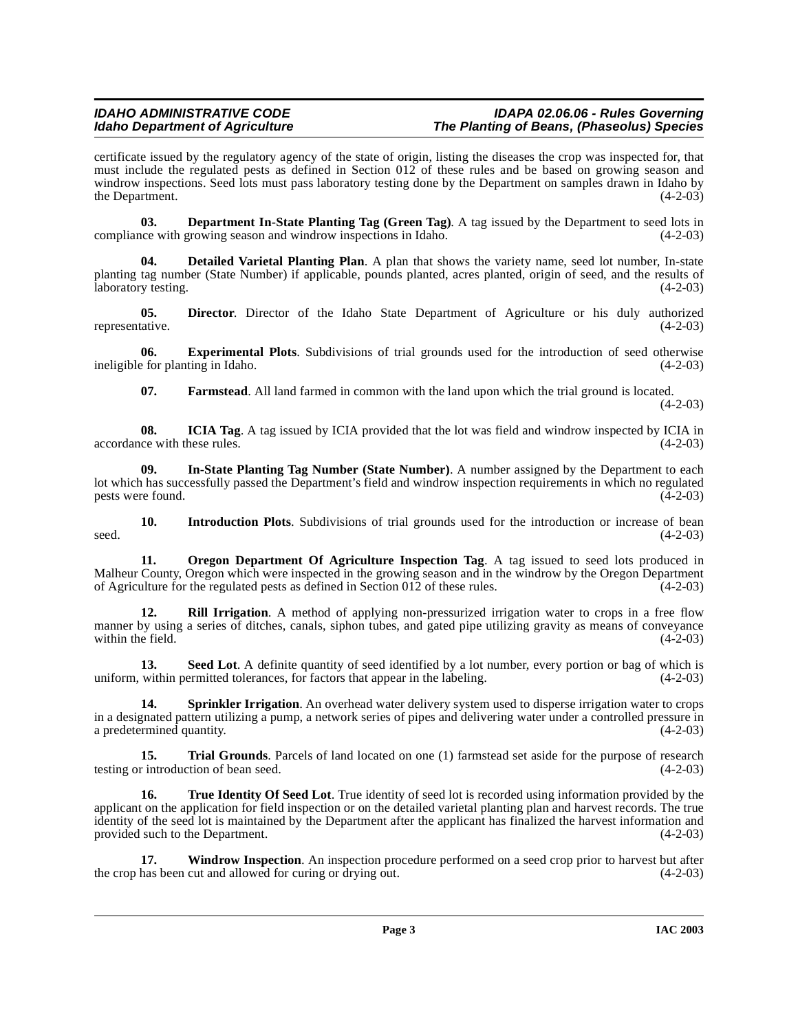#### **IDAHO ADMINISTRATIVE CODE IDAPA 02.06.06 - Rules Governing The Planting of Beans, (Phaseolus) Species**

certificate issued by the regulatory agency of the state of origin, listing the diseases the crop was inspected for, that must include the regulated pests as defined in Section 012 of these rules and be based on growing season and windrow inspections. Seed lots must pass laboratory testing done by the Department on samples drawn in Idaho by the Department.  $(4-2-03)$ 

<span id="page-2-3"></span>**03. Department In-State Planting Tag (Green Tag)**. A tag issued by the Department to seed lots in rice with growing season and windrow inspections in Idaho. (4-2-03) compliance with growing season and windrow inspections in Idaho.

<span id="page-2-12"></span>**04. Detailed Varietal Planting Plan**. A plan that shows the variety name, seed lot number, In-state planting tag number (State Number) if applicable, pounds planted, acres planted, origin of seed, and the results of laboratory testing. (4-2-03)

**05. Director**. Director of the Idaho State Department of Agriculture or his duly authorized representative. (4-2-03)

**06. Experimental Plots**. Subdivisions of trial grounds used for the introduction of seed otherwise e for planting in Idaho. (4-2-03) ineligible for planting in Idaho.

<span id="page-2-4"></span><span id="page-2-2"></span><span id="page-2-1"></span><span id="page-2-0"></span>**07. Farmstead**. All land farmed in common with the land upon which the trial ground is located.

 $(4-2-03)$ 

**08. ICIA Tag**. A tag issued by ICIA provided that the lot was field and windrow inspected by ICIA in these rules. (4-2-03) accordance with these rules.

**09. In-State Planting Tag Number (State Number)**. A number assigned by the Department to each lot which has successfully passed the Department's field and windrow inspection requirements in which no regulated pests were found.

<span id="page-2-5"></span>**10. Introduction Plots**. Subdivisions of trial grounds used for the introduction or increase of bean  $\text{seed.}$  (4-2-03)

<span id="page-2-6"></span>**11. Oregon Department Of Agriculture Inspection Tag**. A tag issued to seed lots produced in Malheur County, Oregon which were inspected in the growing season and in the windrow by the Oregon Department of Agriculture for the regulated pests as defined in Section 012 of these rules. (4-2-03)

<span id="page-2-7"></span>**12. Rill Irrigation**. A method of applying non-pressurized irrigation water to crops in a free flow manner by using a series of ditches, canals, siphon tubes, and gated pipe utilizing gravity as means of conveyance within the field. (4-2-03) within the field.

<span id="page-2-8"></span>**13.** Seed Lot. A definite quantity of seed identified by a lot number, every portion or bag of which is within permitted tolerances, for factors that appear in the labeling. (4-2-03) uniform, within permitted tolerances, for factors that appear in the labeling.

<span id="page-2-9"></span>**14. Sprinkler Irrigation**. An overhead water delivery system used to disperse irrigation water to crops in a designated pattern utilizing a pump, a network series of pipes and delivering water under a controlled pressure in a predetermined quantity.

<span id="page-2-10"></span>**15. Trial Grounds**. Parcels of land located on one (1) farmstead set aside for the purpose of research testing or introduction of bean seed. (4-2-03)

<span id="page-2-11"></span>**16. True Identity Of Seed Lot**. True identity of seed lot is recorded using information provided by the applicant on the application for field inspection or on the detailed varietal planting plan and harvest records. The true identity of the seed lot is maintained by the Department after the applicant has finalized the harvest information and provided such to the Department. (4-2-03)

<span id="page-2-13"></span>**17. Windrow Inspection**. An inspection procedure performed on a seed crop prior to harvest but after has been cut and allowed for curing or drying out.  $(4-2-03)$ the crop has been cut and allowed for curing or drying out.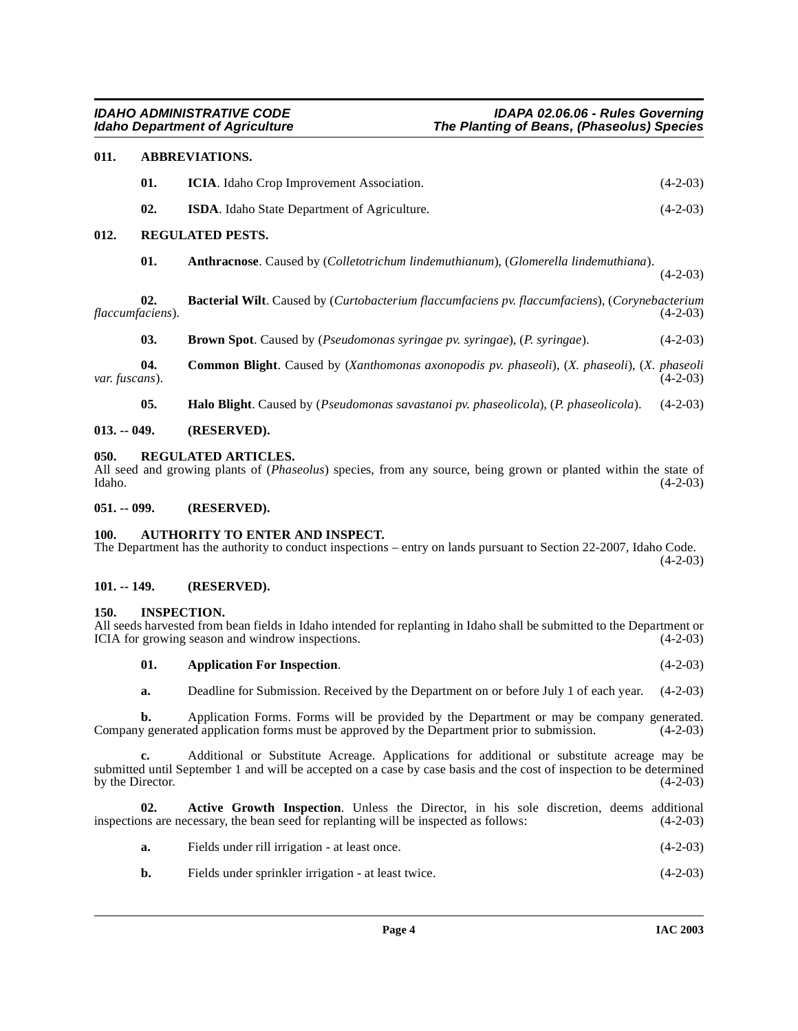#### <span id="page-3-0"></span>**011. ABBREVIATIONS.**

<span id="page-3-8"></span>

| <b>ICIA.</b> Idaho Crop Improvement Association.    | $(4-2-03)$ |
|-----------------------------------------------------|------------|
| <b>ISDA.</b> Idaho State Department of Agriculture. | $(4-2-03)$ |

#### <span id="page-3-1"></span>**012. REGULATED PESTS.**

<span id="page-3-19"></span><span id="page-3-13"></span><span id="page-3-10"></span>**01. Anthracnose**. Caused by (*Colletotrichum lindemuthianum*), (*Glomerella lindemuthiana*).  $(4-2-03)$ 

**02. Bacterial Wilt**. Caused by (*Curtobacterium flaccumfaciens pv. flaccumfaciens*), (*Corynebacterium flaccumfaciens*).

<span id="page-3-15"></span><span id="page-3-14"></span>

| 03. | <b>Brown Spot.</b> Caused by ( <i>Pseudomonas syringae pv. syringae</i> ), ( <i>P. syringae</i> ). |  |  |  | $(4-2-03)$ |
|-----|----------------------------------------------------------------------------------------------------|--|--|--|------------|
|-----|----------------------------------------------------------------------------------------------------|--|--|--|------------|

**04. Common Blight**. Caused by (*Xanthomonas axonopodis pv. phaseoli*), (*X. phaseoli*), (*X. phaseoli var. fuscans*).

<span id="page-3-18"></span><span id="page-3-16"></span>**05. Halo Blight**. Caused by (*Pseudomonas savastanoi pv. phaseolicola*), (*P. phaseolicola*). (4-2-03)

#### <span id="page-3-2"></span>**013. -- 049. (RESERVED).**

#### <span id="page-3-3"></span>**050. REGULATED ARTICLES.**

All seed and growing plants of (*Phaseolus*) species, from any source, being grown or planted within the state of Idaho. (4-2-03)

#### <span id="page-3-4"></span>**051. -- 099. (RESERVED).**

#### <span id="page-3-12"></span><span id="page-3-5"></span>**100. AUTHORITY TO ENTER AND INSPECT.**

The Department has the authority to conduct inspections – entry on lands pursuant to Section 22-2007, Idaho Code.  $(4-2-03)$ 

#### <span id="page-3-6"></span>**101. -- 149. (RESERVED).**

#### <span id="page-3-17"></span><span id="page-3-7"></span>**150. INSPECTION.**

| <b>Application For Inspection.</b>                                                                                     | $(4-2-03)$ |
|------------------------------------------------------------------------------------------------------------------------|------------|
| ICIA for growing season and windrow inspections.                                                                       | $(4-2-03)$ |
| All seeds harvested from bean fields in Idaho intended for replanting in Idaho shall be submitted to the Department or |            |
|                                                                                                                        |            |

<span id="page-3-11"></span>**a.** Deadline for Submission. Received by the Department on or before July 1 of each year. (4-2-03)

**b.** Application Forms. Forms will be provided by the Department or may be company generated.<br>y generated application forms must be approved by the Department prior to submission. (4-2-03) Company generated application forms must be approved by the Department prior to submission.

**c.** Additional or Substitute Acreage. Applications for additional or substitute acreage may be submitted until September 1 and will be accepted on a case by case basis and the cost of inspection to be determined by the Director. (4-2-03)

**02. Active Growth Inspection**. Unless the Director, in his sole discretion, deems additional inspections are necessary, the bean seed for replanting will be inspected as follows: (4-2-03)

- <span id="page-3-9"></span>**a.** Fields under rill irrigation - at least once. (4-2-03)
- **b.** Fields under sprinkler irrigation at least twice. (4-2-03)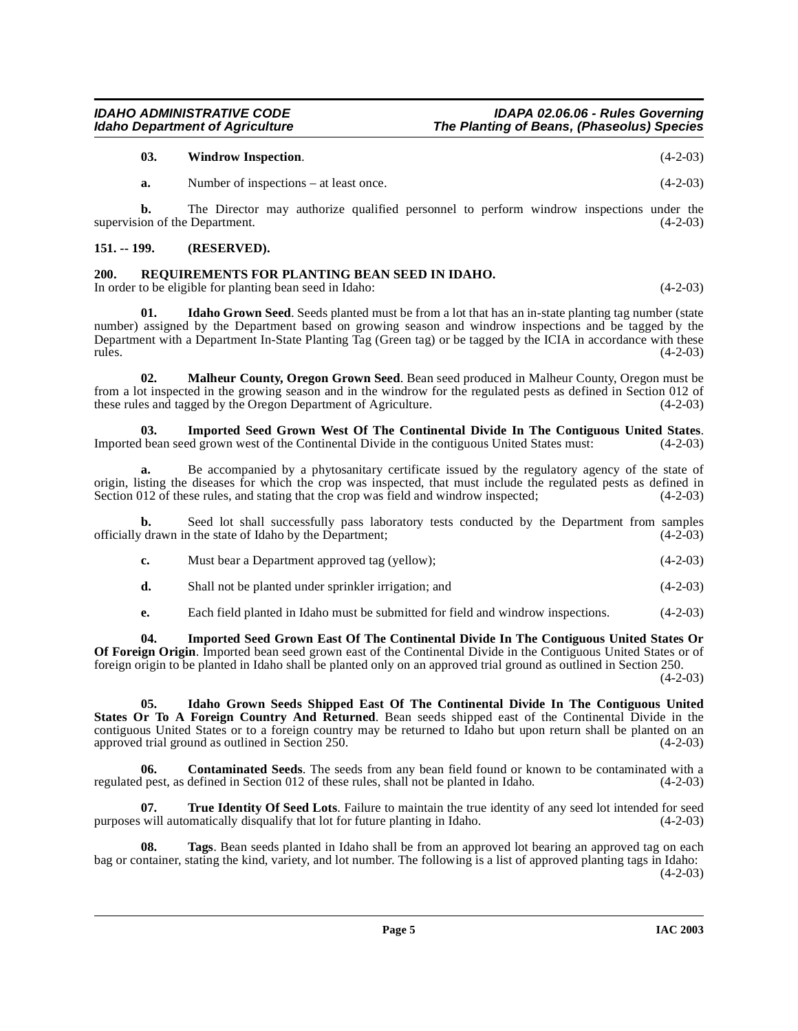**IDAHO ADMINISTRATIVE CODE IDAPA 02.06.06 - Rules Governing The Planting of Beans, (Phaseolus) Species** 

<span id="page-4-11"></span>

| 03. | <b>Windrow Inspection.</b> | $(4-2-03)$ |
|-----|----------------------------|------------|
|     |                            |            |

**a.** Number of inspections – at least once. (4-2-03)

**b.** The Director may authorize qualified personnel to perform windrow inspections under the supervision of the Department. (4-2-03)

#### <span id="page-4-0"></span>**151. -- 199. (RESERVED).**

### <span id="page-4-8"></span><span id="page-4-1"></span>**200. REQUIREMENTS FOR PLANTING BEAN SEED IN IDAHO.**

In order to be eligible for planting bean seed in Idaho: (4-2-03)

<span id="page-4-3"></span>**01. Idaho Grown Seed**. Seeds planted must be from a lot that has an in-state planting tag number (state number) assigned by the Department based on growing season and windrow inspections and be tagged by the Department with a Department In-State Planting Tag (Green tag) or be tagged by the ICIA in accordance with these  $r = (4-2-03)$ 

<span id="page-4-7"></span>**02. Malheur County, Oregon Grown Seed**. Bean seed produced in Malheur County, Oregon must be from a lot inspected in the growing season and in the windrow for the regulated pests as defined in Section 012 of these rules and tagged by the Oregon Department of Agriculture. (4-2-03)

<span id="page-4-6"></span>**03.** Imported Seed Grown West Of The Continental Divide In The Contiguous United States.<br>I bean seed grown west of the Continental Divide in the contiguous United States must: (4-2-03) Imported bean seed grown west of the Continental Divide in the contiguous United States must:

**a.** Be accompanied by a phytosanitary certificate issued by the regulatory agency of the state of origin, listing the diseases for which the crop was inspected, that must include the regulated pests as defined in Section 012 of these rules, and stating that the crop was field and windrow inspected; (4-2-03) Section  $012$  of these rules, and stating that the crop was field and windrow inspected;

**b.** Seed lot shall successfully pass laboratory tests conducted by the Department from samples officially drawn in the state of Idaho by the Department; (4-2-03)

|  | Must bear a Department approved tag (yellow); | $(4-2-03)$ |
|--|-----------------------------------------------|------------|
|--|-----------------------------------------------|------------|

**d.** Shall not be planted under sprinkler irrigation; and (4-2-03)

<span id="page-4-5"></span>**e.** Each field planted in Idaho must be submitted for field and windrow inspections. (4-2-03)

**04. Imported Seed Grown East Of The Continental Divide In The Contiguous United States Or Of Foreign Origin**. Imported bean seed grown east of the Continental Divide in the Contiguous United States or of foreign origin to be planted in Idaho shall be planted only on an approved trial ground as outlined in Section 250.

 $(4-2-03)$ 

<span id="page-4-4"></span>**05. Idaho Grown Seeds Shipped East Of The Continental Divide In The Contiguous United States Or To A Foreign Country And Returned**. Bean seeds shipped east of the Continental Divide in the contiguous United States or to a foreign country may be returned to Idaho but upon return shall be planted on an approved trial ground as outlined in Section 250. approved trial ground as outlined in Section 250.

<span id="page-4-2"></span>**06. Contaminated Seeds**. The seeds from any bean field found or known to be contaminated with a regulated pest, as defined in Section 012 of these rules, shall not be planted in Idaho. (4-2-03)

<span id="page-4-10"></span>**07. True Identity Of Seed Lots**. Failure to maintain the true identity of any seed lot intended for seed purposes will automatically disqualify that lot for future planting in Idaho. (4-2-03)

<span id="page-4-9"></span>**08. Tags**. Bean seeds planted in Idaho shall be from an approved lot bearing an approved tag on each bag or container, stating the kind, variety, and lot number. The following is a list of approved planting tags in Idaho:  $(4-2-03)$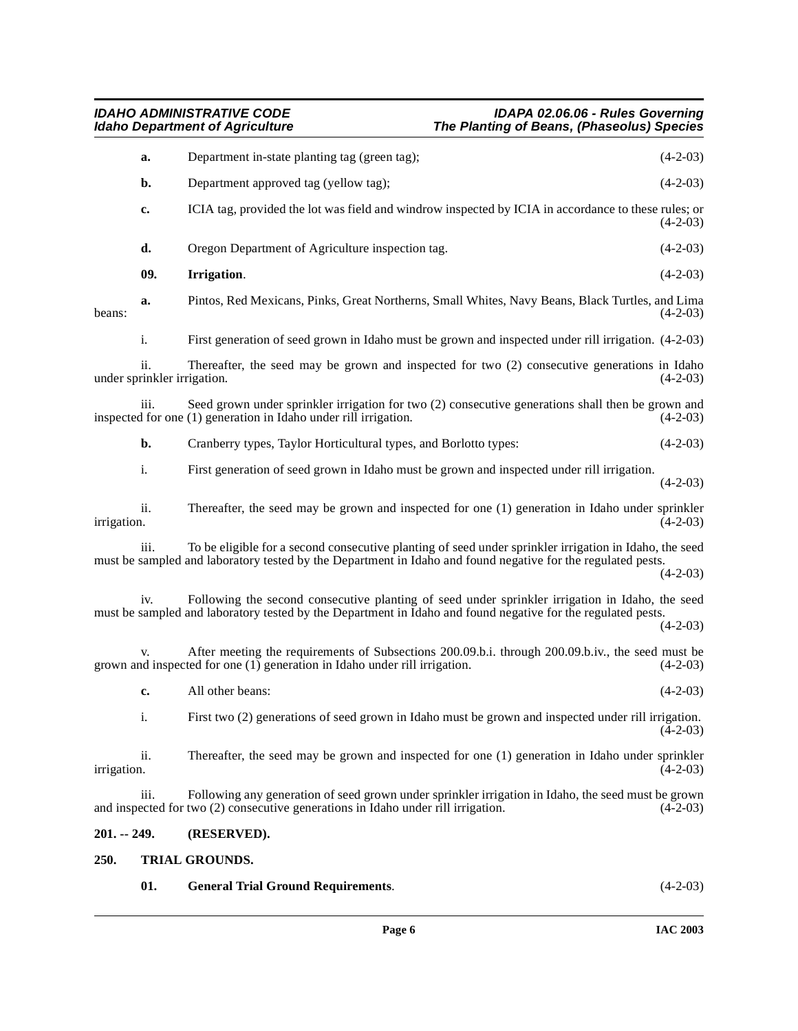<span id="page-5-3"></span><span id="page-5-2"></span><span id="page-5-1"></span><span id="page-5-0"></span>

|              | a.                                 | Department in-state planting tag (green tag);                                                                                                                                                                          | $(4-2-03)$ |
|--------------|------------------------------------|------------------------------------------------------------------------------------------------------------------------------------------------------------------------------------------------------------------------|------------|
|              | b.                                 | Department approved tag (yellow tag);                                                                                                                                                                                  | $(4-2-03)$ |
|              | c.                                 | ICIA tag, provided the lot was field and windrow inspected by ICIA in accordance to these rules; or                                                                                                                    | $(4-2-03)$ |
|              | d.                                 | Oregon Department of Agriculture inspection tag.                                                                                                                                                                       | $(4-2-03)$ |
|              | 09.                                | Irrigation.                                                                                                                                                                                                            | $(4-2-03)$ |
| beans:       | a.                                 | Pintos, Red Mexicans, Pinks, Great Northerns, Small Whites, Navy Beans, Black Turtles, and Lima                                                                                                                        | $(4-2-03)$ |
|              | i.                                 | First generation of seed grown in Idaho must be grown and inspected under rill irrigation. (4-2-03)                                                                                                                    |            |
|              | ii.<br>under sprinkler irrigation. | Thereafter, the seed may be grown and inspected for two (2) consecutive generations in Idaho                                                                                                                           | $(4-2-03)$ |
|              | iii.                               | Seed grown under sprinkler irrigation for two (2) consecutive generations shall then be grown and<br>inspected for one (1) generation in Idaho under rill irrigation.                                                  | $(4-2-03)$ |
|              | b.                                 | Cranberry types, Taylor Horticultural types, and Borlotto types:                                                                                                                                                       | $(4-2-03)$ |
|              | i.                                 | First generation of seed grown in Idaho must be grown and inspected under rill irrigation.                                                                                                                             | $(4-2-03)$ |
| irrigation.  | ii.                                | Thereafter, the seed may be grown and inspected for one (1) generation in Idaho under sprinkler                                                                                                                        | $(4-2-03)$ |
|              | iii.                               | To be eligible for a second consecutive planting of seed under sprinkler irrigation in Idaho, the seed<br>must be sampled and laboratory tested by the Department in Idaho and found negative for the regulated pests. | $(4-2-03)$ |
|              | iv.                                | Following the second consecutive planting of seed under sprinkler irrigation in Idaho, the seed<br>must be sampled and laboratory tested by the Department in Idaho and found negative for the regulated pests.        | $(4-2-03)$ |
|              | v.                                 | After meeting the requirements of Subsections 200.09.b.i. through 200.09.b.iv., the seed must be<br>grown and inspected for one $(1)$ generation in Idaho under rill irrigation.                                       | $(4-2-03)$ |
|              | c.                                 | All other beans:                                                                                                                                                                                                       | $(4-2-03)$ |
|              | 1.                                 | First two (2) generations of seed grown in Idaho must be grown and inspected under rill irrigation.                                                                                                                    | $(4-2-03)$ |
| irrigation.  | ii.                                | Thereafter, the seed may be grown and inspected for one (1) generation in Idaho under sprinkler                                                                                                                        | $(4-2-03)$ |
|              | iii.                               | Following any generation of seed grown under sprinkler irrigation in Idaho, the seed must be grown<br>and inspected for two (2) consecutive generations in Idaho under rill irrigation.                                | $(4-2-03)$ |
| 201. -- 249. |                                    | (RESERVED).                                                                                                                                                                                                            |            |
| 250.         |                                    | <b>TRIAL GROUNDS.</b>                                                                                                                                                                                                  |            |
|              | 01.                                | <b>General Trial Ground Requirements.</b>                                                                                                                                                                              | $(4-2-03)$ |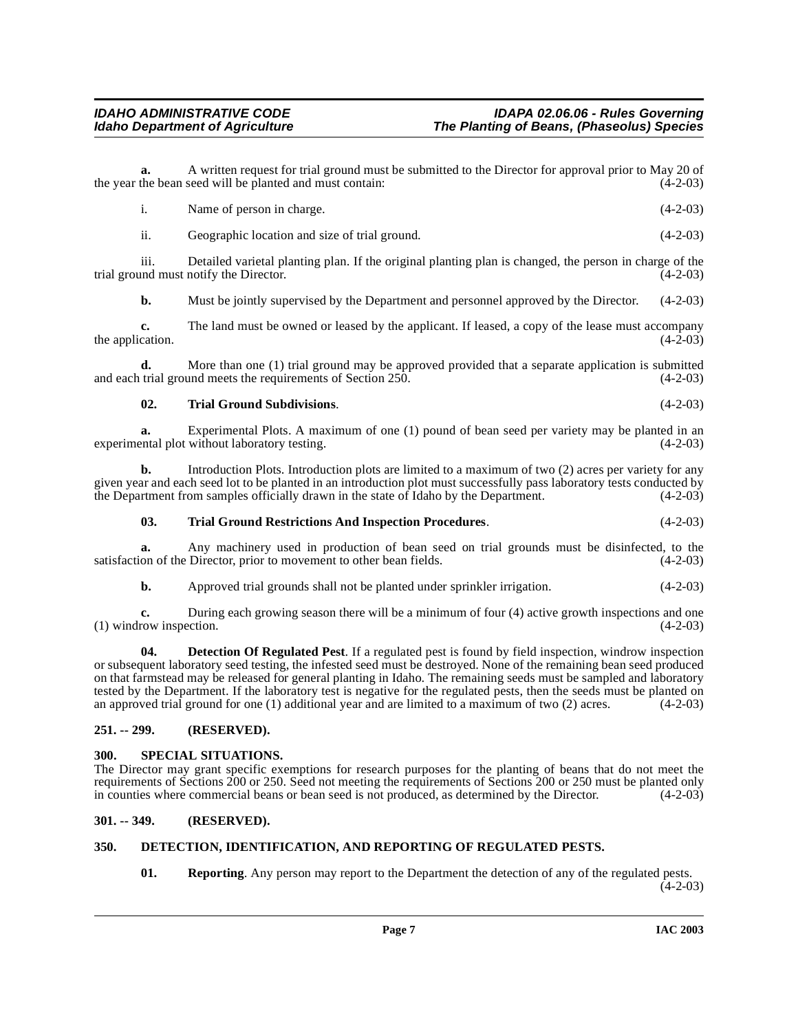**a.** A written request for trial ground must be submitted to the Director for approval prior to May 20 of the bean seed will be planted and must contain: (4-2-03) the year the bean seed will be planted and must contain: i. Name of person in charge. (4-2-03) ii. Geographic location and size of trial ground. (4-2-03) iii. Detailed varietal planting plan. If the original planting plan is changed, the person in charge of the trial ground must notify the Director. The Contractor of the Contractor of the Contractor of the Contractor of the Contractor of the Contractor of the Contractor of the Contractor of the Contractor of the Contractor of the **b.** Must be jointly supervised by the Department and personnel approved by the Director.  $(4-2-03)$ **c.** The land must be owned or leased by the applicant. If leased, a copy of the lease must accompany the application.  $(4-2-03)$ **d.** More than one (1) trial ground may be approved provided that a separate application is submitted trial ground meets the requirements of Section 250.  $(4-2-03)$ and each trial ground meets the requirements of Section 250. **02. Trial Ground Subdivisions**. (4-2-03) **a.** Experimental Plots. A maximum of one (1) pound of bean seed per variety may be planted in an ental plot without laboratory testing. (4-2-03) experimental plot without laboratory testing. **b.** Introduction Plots. Introduction plots are limited to a maximum of two (2) acres per variety for any given year and each seed lot to be planted in an introduction plot must successfully pass laboratory tests conducted by the Department from samples officially drawn in the state of Idaho by the Department. (4-2-03) the Department from samples officially drawn in the state of Idaho by the Department. **03. Trial Ground Restrictions And Inspection Procedures**. (4-2-03) **a.** Any machinery used in production of bean seed on trial grounds must be disinfected, to the on of the Director, prior to movement to other bean fields. (4-2-03) satisfaction of the Director, prior to movement to other bean fields. **b.** Approved trial grounds shall not be planted under sprinkler irrigation. (4-2-03)

<span id="page-6-8"></span><span id="page-6-7"></span>**c.** During each growing season there will be a minimum of four (4) active growth inspections and one (4-2-03)  $(1)$  windrow inspection.

<span id="page-6-4"></span>**04. Detection Of Regulated Pest**. If a regulated pest is found by field inspection, windrow inspection or subsequent laboratory seed testing, the infested seed must be destroyed. None of the remaining bean seed produced on that farmstead may be released for general planting in Idaho. The remaining seeds must be sampled and laboratory tested by the Department. If the laboratory test is negative for the regulated pests, then the seeds must be planted on an approved trial ground for one  $(1)$  additional year and are limited to a maximum of two  $(2)$  acres.  $(4-2-03)$ 

#### <span id="page-6-0"></span>**251. -- 299. (RESERVED).**

#### <span id="page-6-6"></span><span id="page-6-1"></span>**300. SPECIAL SITUATIONS.**

The Director may grant specific exemptions for research purposes for the planting of beans that do not meet the requirements of Sections 200 or 250. Seed not meeting the requirements of Sections 200 or 250 must be planted only in counties where commercial beans or bean seed is not produced, as determined by the Director. (4-2-03)

#### <span id="page-6-2"></span>**301. -- 349. (RESERVED).**

#### <span id="page-6-3"></span>**350. DETECTION, IDENTIFICATION, AND REPORTING OF REGULATED PESTS.**

<span id="page-6-5"></span>**01. Reporting**. Any person may report to the Department the detection of any of the regulated pests.

 $(4-2-03)$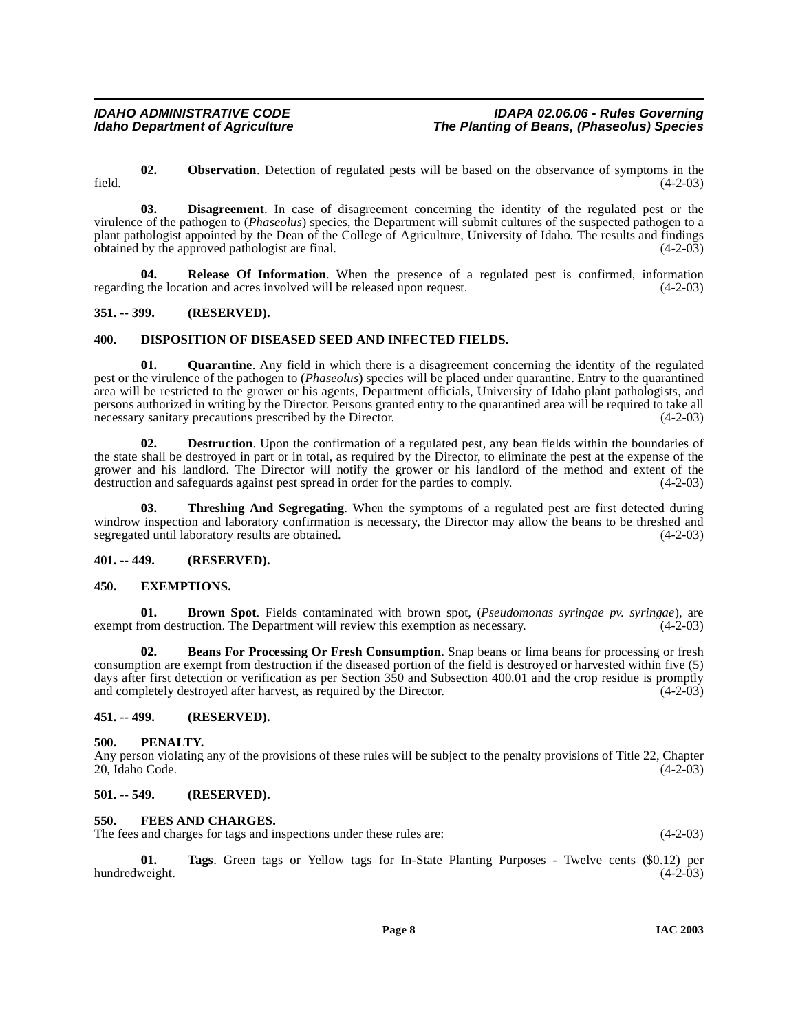**02. Observation**. Detection of regulated pests will be based on the observance of symptoms in the  $(4-2-03)$  $\text{field.}$  (4-2-03)

**03. Disagreement**. In case of disagreement concerning the identity of the regulated pest or the virulence of the pathogen to (*Phaseolus*) species, the Department will submit cultures of the suspected pathogen to a plant pathologist appointed by the Dean of the College of Agriculture, University of Idaho. The results and findings obtained by the approved pathologist are final. obtained by the approved pathologist are final.

**04. Release Of Information**. When the presence of a regulated pest is confirmed, information regarding the location and acres involved will be released upon request. (4-2-03)

#### <span id="page-7-0"></span>**351. -- 399. (RESERVED).**

#### <span id="page-7-11"></span><span id="page-7-1"></span>**400. DISPOSITION OF DISEASED SEED AND INFECTED FIELDS.**

<span id="page-7-14"></span>**01.** Quarantine. Any field in which there is a disagreement concerning the identity of the regulated pest or the virulence of the pathogen to (*Phaseolus*) species will be placed under quarantine. Entry to the quarantined area will be restricted to the grower or his agents, Department officials, University of Idaho plant pathologists, and persons authorized in writing by the Director. Persons granted entry to the quarantined area will be required to take all necessary sanitary precautions prescribed by the Director.

<span id="page-7-10"></span>**02. Destruction**. Upon the confirmation of a regulated pest, any bean fields within the boundaries of the state shall be destroyed in part or in total, as required by the Director, to eliminate the pest at the expense of the grower and his landlord. The Director will notify the grower or his landlord of the method and extent of the destruction and safeguards against pest spread in order for the parties to comply. (4-2-03)

<span id="page-7-16"></span>**03. Threshing And Segregating**. When the symptoms of a regulated pest are first detected during windrow inspection and laboratory confirmation is necessary, the Director may allow the beans to be threshed and segregated until laboratory results are obtained. (4-2-03)

#### <span id="page-7-2"></span>**401. -- 449. (RESERVED).**

#### <span id="page-7-12"></span><span id="page-7-3"></span>**450. EXEMPTIONS.**

<span id="page-7-9"></span>**01. Brown Spot**. Fields contaminated with brown spot, (*Pseudomonas syringae pv. syringae*), are exempt from destruction. The Department will review this exemption as necessary.

<span id="page-7-8"></span>**02. Beans For Processing Or Fresh Consumption**. Snap beans or lima beans for processing or fresh consumption are exempt from destruction if the diseased portion of the field is destroyed or harvested within five (5) days after first detection or verification as per Section 350 and Subsection 400.01 and the crop residue is promptly and completely destroyed after harvest, as required by the Director. (4-2-03)

#### <span id="page-7-4"></span>**451. -- 499. (RESERVED).**

#### <span id="page-7-5"></span>**500. PENALTY.**

Any person violating any of the provisions of these rules will be subject to the penalty provisions of Title 22, Chapter 20, Idaho Code. (4-2-03)

#### <span id="page-7-6"></span>**501. -- 549. (RESERVED).**

#### <span id="page-7-13"></span><span id="page-7-7"></span>**550. FEES AND CHARGES.**

The fees and charges for tags and inspections under these rules are: (4-2-03)

<span id="page-7-15"></span>**01.** Tags. Green tags or Yellow tags for In-State Planting Purposes - Twelve cents (\$0.12) per veight. (4-2-03) hundredweight.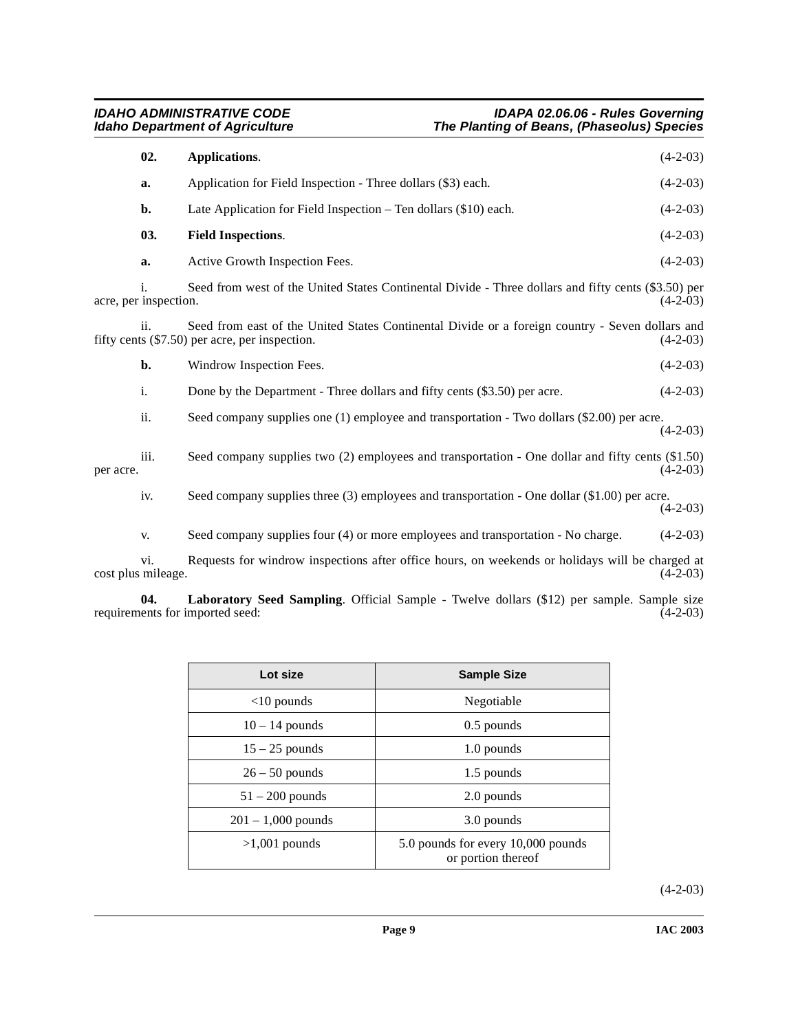<span id="page-8-1"></span><span id="page-8-0"></span>

|           | 02.                         | Applications.                                                                                                                                     | $(4-2-03)$ |
|-----------|-----------------------------|---------------------------------------------------------------------------------------------------------------------------------------------------|------------|
|           | a.                          | Application for Field Inspection - Three dollars (\$3) each.                                                                                      | $(4-2-03)$ |
|           | b.                          | Late Application for Field Inspection $-$ Ten dollars (\$10) each.                                                                                | $(4-2-03)$ |
|           | 03.                         | <b>Field Inspections.</b>                                                                                                                         | $(4-2-03)$ |
|           | a.                          | Active Growth Inspection Fees.                                                                                                                    | $(4-2-03)$ |
|           | i.<br>acre, per inspection. | Seed from west of the United States Continental Divide - Three dollars and fifty cents (\$3.50) per                                               | $(4-2-03)$ |
|           | ii.                         | Seed from east of the United States Continental Divide or a foreign country - Seven dollars and<br>fifty cents (\$7.50) per acre, per inspection. | $(4-2-03)$ |
|           | b.                          | Windrow Inspection Fees.                                                                                                                          | $(4-2-03)$ |
|           | i.                          | Done by the Department - Three dollars and fifty cents (\$3.50) per acre.                                                                         | $(4-2-03)$ |
|           | ii.                         | Seed company supplies one (1) employee and transportation - Two dollars (\$2.00) per acre.                                                        | $(4-2-03)$ |
| per acre. | iii.                        | Seed company supplies two (2) employees and transportation - One dollar and fifty cents (\$1.50)                                                  | $(4-2-03)$ |
|           | iv.                         | Seed company supplies three $(3)$ employees and transportation - One dollar $(1.00)$ per acre.                                                    | $(4-2-03)$ |
|           | V.                          | Seed company supplies four (4) or more employees and transportation - No charge.                                                                  | $(4-2-03)$ |

vi. Requests for windrow inspections after office hours, on weekends or holidays will be charged at cost plus mileage.

**04.** Laboratory Seed Sampling. Official Sample - Twelve dollars (\$12) per sample. Sample size lents for imported seed: (4-2-03) requirements for imported seed:

<span id="page-8-2"></span>

| Lot size             | <b>Sample Size</b>                                       |
|----------------------|----------------------------------------------------------|
| $<$ 10 pounds        | Negotiable                                               |
| $10 - 14$ pounds     | $0.5$ pounds                                             |
| $15 - 25$ pounds     | 1.0 pounds                                               |
| $26 - 50$ pounds     | 1.5 pounds                                               |
| $51 - 200$ pounds    | 2.0 pounds                                               |
| $201 - 1,000$ pounds | 3.0 pounds                                               |
| $>1,001$ pounds      | 5.0 pounds for every 10,000 pounds<br>or portion thereof |

 $(4-2-03)$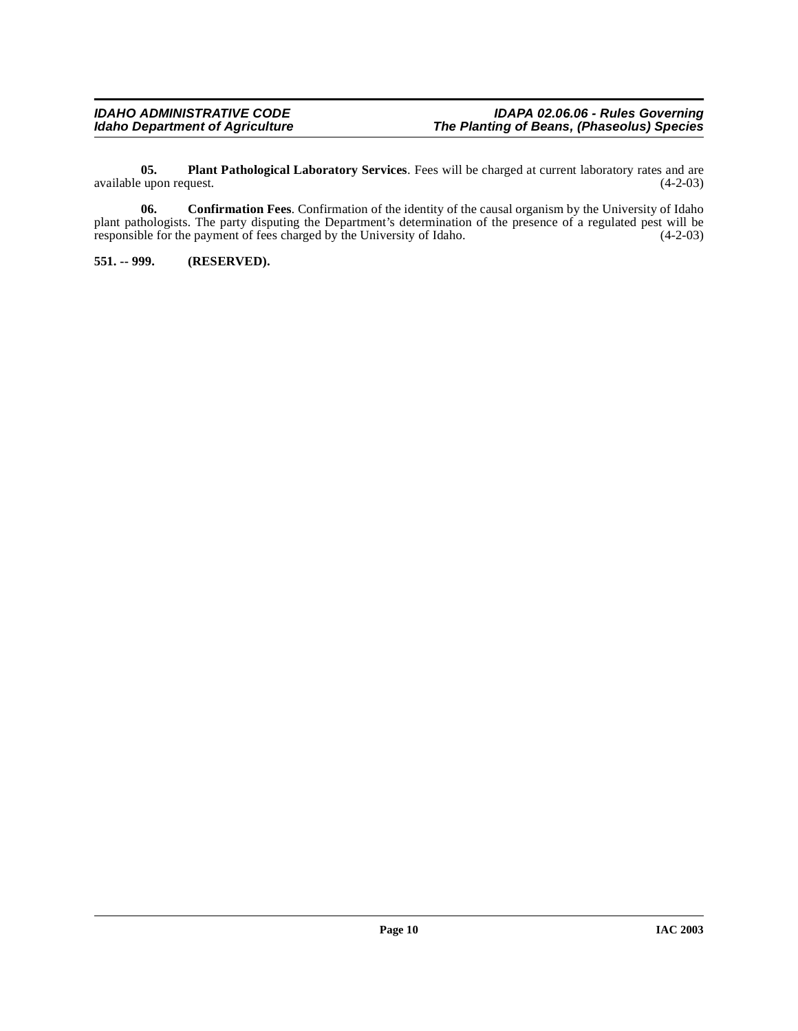<span id="page-9-2"></span>**05. Plant Pathological Laboratory Services**. Fees will be charged at current laboratory rates and are tupon request. (4-2-03) available upon request.

<span id="page-9-1"></span>**06. Confirmation Fees**. Confirmation of the identity of the causal organism by the University of Idaho plant pathologists. The party disputing the Department's determination of the presence of a regulated pest will be responsible for the payment of fees charged by the University of Idaho. (4-2-03)

<span id="page-9-0"></span>**551. -- 999. (RESERVED).**